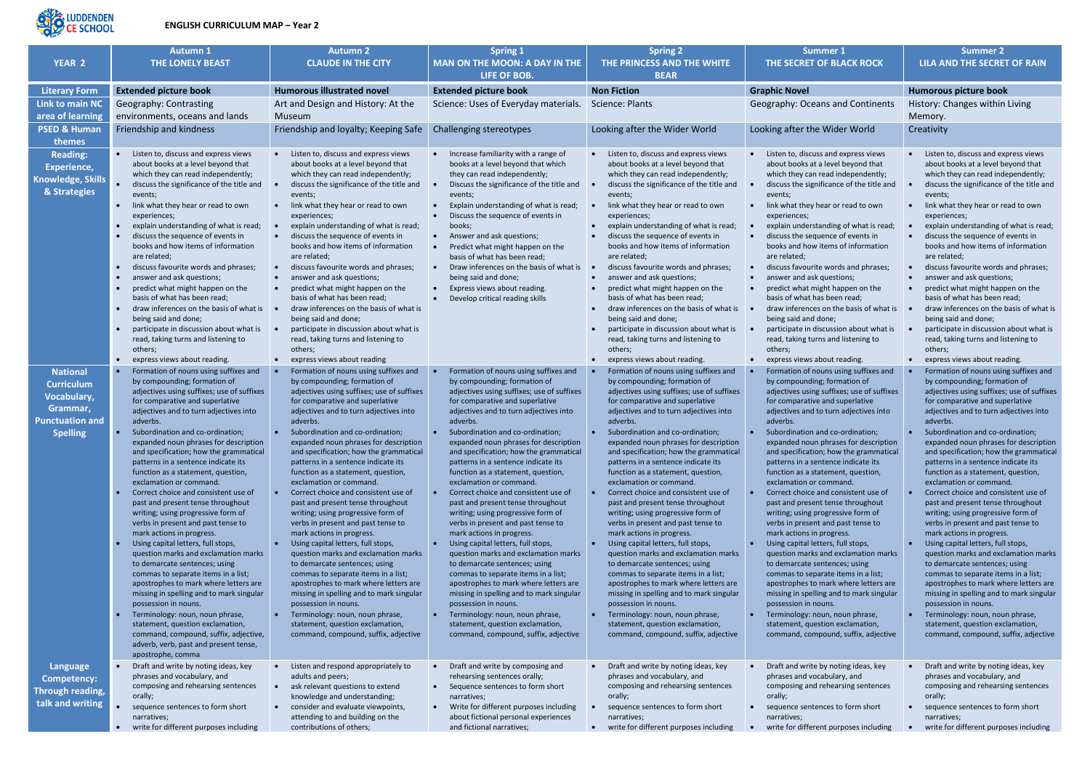

## **ENGLISH CURRICULUM MAP – Year 2**

|                                                                                                              | <b>Autumn 1</b>                                                                                                                                                                                                                                                                                                                                                                                                                                                                                                                                                                                                                                                                                                                                                                                                                                                                                                                                                                                                                                                                    | <b>Autumn 2</b>                                                                                                                                                                                                                                                                                                                                                                                                                                                                                                                                                                                                                                                                                                                                                                                                                                                                                                                                                                                                     | <b>Spring 1</b>                                                                                                                                                                                                                                                                                                                                                                                                                                                                                                                                                                                                                                                                                                                                                                                                                                                                                                                                                                                                     | <b>Spring 2</b>                                                                                                                                                                                                                                                                                                                                                                                                                                                                                                                                                                                                                                                                                                                                                                                                                                                                                                                                                                                                     | Summer 1                                                                                                                                                                                                                                                                                                                                                                                                                                                                                                                                                                                                                                                                                                                                                                                                                                                                                                                                                                                                                         | <b>Summer 2</b>                                                                                                                                                                                                                                                                                                                                                                                                                                                                                                                                                                                                                                                                                                                                                                                                                                                                                                                                                                                                     |
|--------------------------------------------------------------------------------------------------------------|------------------------------------------------------------------------------------------------------------------------------------------------------------------------------------------------------------------------------------------------------------------------------------------------------------------------------------------------------------------------------------------------------------------------------------------------------------------------------------------------------------------------------------------------------------------------------------------------------------------------------------------------------------------------------------------------------------------------------------------------------------------------------------------------------------------------------------------------------------------------------------------------------------------------------------------------------------------------------------------------------------------------------------------------------------------------------------|---------------------------------------------------------------------------------------------------------------------------------------------------------------------------------------------------------------------------------------------------------------------------------------------------------------------------------------------------------------------------------------------------------------------------------------------------------------------------------------------------------------------------------------------------------------------------------------------------------------------------------------------------------------------------------------------------------------------------------------------------------------------------------------------------------------------------------------------------------------------------------------------------------------------------------------------------------------------------------------------------------------------|---------------------------------------------------------------------------------------------------------------------------------------------------------------------------------------------------------------------------------------------------------------------------------------------------------------------------------------------------------------------------------------------------------------------------------------------------------------------------------------------------------------------------------------------------------------------------------------------------------------------------------------------------------------------------------------------------------------------------------------------------------------------------------------------------------------------------------------------------------------------------------------------------------------------------------------------------------------------------------------------------------------------|---------------------------------------------------------------------------------------------------------------------------------------------------------------------------------------------------------------------------------------------------------------------------------------------------------------------------------------------------------------------------------------------------------------------------------------------------------------------------------------------------------------------------------------------------------------------------------------------------------------------------------------------------------------------------------------------------------------------------------------------------------------------------------------------------------------------------------------------------------------------------------------------------------------------------------------------------------------------------------------------------------------------|----------------------------------------------------------------------------------------------------------------------------------------------------------------------------------------------------------------------------------------------------------------------------------------------------------------------------------------------------------------------------------------------------------------------------------------------------------------------------------------------------------------------------------------------------------------------------------------------------------------------------------------------------------------------------------------------------------------------------------------------------------------------------------------------------------------------------------------------------------------------------------------------------------------------------------------------------------------------------------------------------------------------------------|---------------------------------------------------------------------------------------------------------------------------------------------------------------------------------------------------------------------------------------------------------------------------------------------------------------------------------------------------------------------------------------------------------------------------------------------------------------------------------------------------------------------------------------------------------------------------------------------------------------------------------------------------------------------------------------------------------------------------------------------------------------------------------------------------------------------------------------------------------------------------------------------------------------------------------------------------------------------------------------------------------------------|
| <b>YEAR 2</b>                                                                                                | <b>THE LONELY BEAST</b>                                                                                                                                                                                                                                                                                                                                                                                                                                                                                                                                                                                                                                                                                                                                                                                                                                                                                                                                                                                                                                                            | <b>CLAUDE IN THE CITY</b>                                                                                                                                                                                                                                                                                                                                                                                                                                                                                                                                                                                                                                                                                                                                                                                                                                                                                                                                                                                           | <b>MAN ON THE MOON: A DAY IN THE</b><br>LIFE OF BOB.                                                                                                                                                                                                                                                                                                                                                                                                                                                                                                                                                                                                                                                                                                                                                                                                                                                                                                                                                                | THE PRINCESS AND THE WHITE<br><b>BEAR</b>                                                                                                                                                                                                                                                                                                                                                                                                                                                                                                                                                                                                                                                                                                                                                                                                                                                                                                                                                                           | THE SECRET OF BLACK ROCK                                                                                                                                                                                                                                                                                                                                                                                                                                                                                                                                                                                                                                                                                                                                                                                                                                                                                                                                                                                                         | <b>LILA AND THE SECRET OF RAIN</b>                                                                                                                                                                                                                                                                                                                                                                                                                                                                                                                                                                                                                                                                                                                                                                                                                                                                                                                                                                                  |
| <b>Literary Form</b>                                                                                         | <b>Extended picture book</b>                                                                                                                                                                                                                                                                                                                                                                                                                                                                                                                                                                                                                                                                                                                                                                                                                                                                                                                                                                                                                                                       | <b>Humorous illustrated novel</b>                                                                                                                                                                                                                                                                                                                                                                                                                                                                                                                                                                                                                                                                                                                                                                                                                                                                                                                                                                                   | <b>Extended picture book</b>                                                                                                                                                                                                                                                                                                                                                                                                                                                                                                                                                                                                                                                                                                                                                                                                                                                                                                                                                                                        | <b>Non Fiction</b>                                                                                                                                                                                                                                                                                                                                                                                                                                                                                                                                                                                                                                                                                                                                                                                                                                                                                                                                                                                                  | <b>Graphic Novel</b>                                                                                                                                                                                                                                                                                                                                                                                                                                                                                                                                                                                                                                                                                                                                                                                                                                                                                                                                                                                                             | <b>Humorous picture book</b>                                                                                                                                                                                                                                                                                                                                                                                                                                                                                                                                                                                                                                                                                                                                                                                                                                                                                                                                                                                        |
| <b>Link to main NC</b><br>area of learning                                                                   | Geography: Contrasting<br>environments, oceans and lands                                                                                                                                                                                                                                                                                                                                                                                                                                                                                                                                                                                                                                                                                                                                                                                                                                                                                                                                                                                                                           | Art and Design and History: At the<br>Museum                                                                                                                                                                                                                                                                                                                                                                                                                                                                                                                                                                                                                                                                                                                                                                                                                                                                                                                                                                        | Science: Uses of Everyday materials.                                                                                                                                                                                                                                                                                                                                                                                                                                                                                                                                                                                                                                                                                                                                                                                                                                                                                                                                                                                | Science: Plants                                                                                                                                                                                                                                                                                                                                                                                                                                                                                                                                                                                                                                                                                                                                                                                                                                                                                                                                                                                                     | Geography: Oceans and Continents                                                                                                                                                                                                                                                                                                                                                                                                                                                                                                                                                                                                                                                                                                                                                                                                                                                                                                                                                                                                 | History: Changes within Living<br>Memory.                                                                                                                                                                                                                                                                                                                                                                                                                                                                                                                                                                                                                                                                                                                                                                                                                                                                                                                                                                           |
| <b>PSED &amp; Human</b><br>themes                                                                            | Friendship and kindness                                                                                                                                                                                                                                                                                                                                                                                                                                                                                                                                                                                                                                                                                                                                                                                                                                                                                                                                                                                                                                                            | Friendship and loyalty; Keeping Safe                                                                                                                                                                                                                                                                                                                                                                                                                                                                                                                                                                                                                                                                                                                                                                                                                                                                                                                                                                                | Challenging stereotypes                                                                                                                                                                                                                                                                                                                                                                                                                                                                                                                                                                                                                                                                                                                                                                                                                                                                                                                                                                                             | Looking after the Wider World                                                                                                                                                                                                                                                                                                                                                                                                                                                                                                                                                                                                                                                                                                                                                                                                                                                                                                                                                                                       | Looking after the Wider World                                                                                                                                                                                                                                                                                                                                                                                                                                                                                                                                                                                                                                                                                                                                                                                                                                                                                                                                                                                                    | Creativity                                                                                                                                                                                                                                                                                                                                                                                                                                                                                                                                                                                                                                                                                                                                                                                                                                                                                                                                                                                                          |
| <b>Reading:</b><br>Experience,<br>Knowledge, Skills<br>& Strategies                                          | Listen to, discuss and express views<br>about books at a level beyond that<br>which they can read independently;<br>discuss the significance of the title and<br>events;<br>link what they hear or read to own<br>experiences;<br>explain understanding of what is read;<br>discuss the sequence of events in<br>books and how items of information<br>are related;<br>discuss favourite words and phrases;<br>answer and ask questions;<br>predict what might happen on the<br>basis of what has been read;<br>draw inferences on the basis of what is<br>being said and done;<br>participate in discussion about what is<br>read, taking turns and listening to<br>others;<br>express views about reading.                                                                                                                                                                                                                                                                                                                                                                       | Listen to, discuss and express views<br>about books at a level beyond that<br>which they can read independently;<br>discuss the significance of the title and<br>events;<br>link what they hear or read to own<br>experiences;<br>explain understanding of what is read;<br>discuss the sequence of events in<br>books and how items of information<br>are related;<br>discuss favourite words and phrases;<br>answer and ask questions;<br>predict what might happen on the<br>basis of what has been read;<br>draw inferences on the basis of what is<br>being said and done;<br>participate in discussion about what is<br>read, taking turns and listening to<br>others;<br>express views about reading                                                                                                                                                                                                                                                                                                         | Increase familiarity with a range of<br>books at a level beyond that which<br>they can read independently;<br>Discuss the significance of the title and<br>events;<br>Explain understanding of what is read;<br>Discuss the sequence of events in<br>books;<br>Answer and ask questions;<br>Predict what might happen on the<br>basis of what has been read;<br>Draw inferences on the basis of what is<br>being said and done;<br>Express views about reading.<br>Develop critical reading skills                                                                                                                                                                                                                                                                                                                                                                                                                                                                                                                  | Listen to, discuss and express views<br>about books at a level beyond that<br>which they can read independently;<br>discuss the significance of the title and<br>events;<br>link what they hear or read to own<br>experiences;<br>explain understanding of what is read;<br>discuss the sequence of events in<br>books and how items of information<br>are related;<br>discuss favourite words and phrases;<br>answer and ask questions;<br>predict what might happen on the<br>basis of what has been read;<br>draw inferences on the basis of what is<br>being said and done;<br>participate in discussion about what is<br>read, taking turns and listening to<br>others;<br>express views about reading.                                                                                                                                                                                                                                                                                                        | • Listen to, discuss and express views<br>about books at a level beyond that<br>which they can read independently;<br>discuss the significance of the title and<br>events;<br>link what they hear or read to own<br>experiences;<br>explain understanding of what is read;<br>discuss the sequence of events in<br>$\bullet$<br>books and how items of information<br>are related;<br>discuss favourite words and phrases;<br>$\bullet$<br>answer and ask questions;<br>predict what might happen on the<br>basis of what has been read;<br>draw inferences on the basis of what is<br>being said and done;<br>participate in discussion about what is<br>read, taking turns and listening to<br>others;<br>express views about reading.<br>$\bullet$                                                                                                                                                                                                                                                                            | Listen to, discuss and express views<br>about books at a level beyond that<br>which they can read independently;<br>discuss the significance of the title and<br>events;<br>link what they hear or read to own<br>experiences;<br>explain understanding of what is read;<br>discuss the sequence of events in<br>books and how items of information<br>are related;<br>discuss favourite words and phrases;<br>answer and ask questions;<br>predict what might happen on the<br>basis of what has been read:<br>draw inferences on the basis of what is<br>being said and done;<br>participate in discussion about what is<br>read, taking turns and listening to<br>others;<br>express views about reading.                                                                                                                                                                                                                                                                                                        |
| <b>National</b><br><b>Curriculum</b><br>Vocabulary,<br>Grammar,<br><b>Punctuation and</b><br><b>Spelling</b> | Formation of nouns using suffixes and<br>by compounding; formation of<br>adjectives using suffixes; use of suffixes<br>for comparative and superlative<br>adjectives and to turn adjectives into<br>adverbs.<br>Subordination and co-ordination:<br>expanded noun phrases for description<br>and specification; how the grammatical<br>patterns in a sentence indicate its<br>function as a statement, question,<br>exclamation or command.<br>Correct choice and consistent use of<br>past and present tense throughout<br>writing; using progressive form of<br>verbs in present and past tense to<br>mark actions in progress.<br>Using capital letters, full stops,<br>question marks and exclamation marks<br>to demarcate sentences; using<br>commas to separate items in a list;<br>apostrophes to mark where letters are<br>missing in spelling and to mark singular<br>possession in nouns.<br>Terminology: noun, noun phrase,<br>statement, question exclamation,<br>command, compound, suffix, adjective,<br>adverb, verb, past and present tense,<br>apostrophe, comma | Formation of nouns using suffixes and<br>by compounding; formation of<br>adjectives using suffixes; use of suffixes<br>for comparative and superlative<br>adjectives and to turn adjectives into<br>adverbs.<br>Subordination and co-ordination;<br>expanded noun phrases for description<br>and specification; how the grammatical<br>patterns in a sentence indicate its<br>function as a statement, question,<br>exclamation or command.<br>Correct choice and consistent use of<br>past and present tense throughout<br>writing; using progressive form of<br>verbs in present and past tense to<br>mark actions in progress.<br>Using capital letters, full stops,<br>question marks and exclamation marks<br>to demarcate sentences; using<br>commas to separate items in a list;<br>apostrophes to mark where letters are<br>missing in spelling and to mark singular<br>possession in nouns.<br>Terminology: noun, noun phrase,<br>statement, question exclamation,<br>command, compound, suffix, adjective | Formation of nouns using suffixes and<br>by compounding; formation of<br>adjectives using suffixes; use of suffixes<br>for comparative and superlative<br>adjectives and to turn adjectives into<br>adverbs.<br>Subordination and co-ordination;<br>expanded noun phrases for description<br>and specification; how the grammatical<br>patterns in a sentence indicate its<br>function as a statement, question,<br>exclamation or command.<br>Correct choice and consistent use of<br>past and present tense throughout<br>writing; using progressive form of<br>verbs in present and past tense to<br>mark actions in progress.<br>Using capital letters, full stops,<br>question marks and exclamation marks<br>to demarcate sentences; using<br>commas to separate items in a list;<br>apostrophes to mark where letters are<br>missing in spelling and to mark singular<br>possession in nouns.<br>Terminology: noun, noun phrase,<br>statement, question exclamation,<br>command, compound, suffix, adjective | Formation of nouns using suffixes and<br>by compounding; formation of<br>adjectives using suffixes; use of suffixes<br>for comparative and superlative<br>adjectives and to turn adjectives into<br>adverbs.<br>Subordination and co-ordination;<br>expanded noun phrases for description<br>and specification; how the grammatical<br>patterns in a sentence indicate its<br>function as a statement, question,<br>exclamation or command.<br>Correct choice and consistent use of<br>past and present tense throughout<br>writing; using progressive form of<br>verbs in present and past tense to<br>mark actions in progress.<br>Using capital letters, full stops,<br>question marks and exclamation marks<br>to demarcate sentences; using<br>commas to separate items in a list;<br>apostrophes to mark where letters are<br>missing in spelling and to mark singular<br>possession in nouns.<br>Terminology: noun, noun phrase,<br>statement, question exclamation,<br>command, compound, suffix, adjective | Formation of nouns using suffixes and<br>by compounding; formation of<br>adjectives using suffixes; use of suffixes<br>for comparative and superlative<br>adjectives and to turn adjectives into<br>adverbs.<br>Subordination and co-ordination;<br>expanded noun phrases for description<br>and specification; how the grammatical<br>patterns in a sentence indicate its<br>function as a statement, question,<br>exclamation or command.<br>Correct choice and consistent use of<br>past and present tense throughout<br>writing; using progressive form of<br>verbs in present and past tense to<br>mark actions in progress.<br>Using capital letters, full stops,<br>$\bullet$<br>question marks and exclamation marks<br>to demarcate sentences; using<br>commas to separate items in a list;<br>apostrophes to mark where letters are<br>missing in spelling and to mark singular<br>possession in nouns.<br>Terminology: noun, noun phrase,<br>statement, question exclamation,<br>command, compound, suffix, adjective | Formation of nouns using suffixes and<br>by compounding; formation of<br>adjectives using suffixes; use of suffixes<br>for comparative and superlative<br>adjectives and to turn adjectives into<br>adverbs.<br>Subordination and co-ordination;<br>expanded noun phrases for description<br>and specification; how the grammatical<br>patterns in a sentence indicate its<br>function as a statement, question,<br>exclamation or command.<br>Correct choice and consistent use of<br>past and present tense throughout<br>writing; using progressive form of<br>verbs in present and past tense to<br>mark actions in progress.<br>Using capital letters, full stops,<br>question marks and exclamation marks<br>to demarcate sentences; using<br>commas to separate items in a list;<br>apostrophes to mark where letters are<br>missing in spelling and to mark singular<br>possession in nouns.<br>Terminology: noun, noun phrase,<br>statement, question exclamation,<br>command, compound, suffix, adjective |
| Language<br>Competency:<br>Through reading,<br>talk and writing                                              | Draft and write by noting ideas, key<br>phrases and vocabulary, and<br>composing and rehearsing sentences<br>orally;<br>sequence sentences to form short<br>narratives;<br>• write for different purposes including                                                                                                                                                                                                                                                                                                                                                                                                                                                                                                                                                                                                                                                                                                                                                                                                                                                                | Listen and respond appropriately to<br>adults and peers;<br>ask relevant questions to extend<br>knowledge and understanding;<br>consider and evaluate viewpoints,<br>attending to and building on the<br>contributions of others;                                                                                                                                                                                                                                                                                                                                                                                                                                                                                                                                                                                                                                                                                                                                                                                   | Draft and write by composing and<br>$\bullet$<br>rehearsing sentences orally;<br>• Sequence sentences to form short<br>narratives;<br>Write for different purposes including<br>$\bullet$<br>about fictional personal experiences<br>and fictional narratives;                                                                                                                                                                                                                                                                                                                                                                                                                                                                                                                                                                                                                                                                                                                                                      | Draft and write by noting ideas, key<br>phrases and vocabulary, and<br>composing and rehearsing sentences<br>orally;<br>sequence sentences to form short<br>narratives;<br>• write for different purposes including                                                                                                                                                                                                                                                                                                                                                                                                                                                                                                                                                                                                                                                                                                                                                                                                 | Draft and write by noting ideas, key<br>phrases and vocabulary, and<br>composing and rehearsing sentences<br>orally;<br>• sequence sentences to form short<br>narratives;<br>write for different purposes including<br>$\bullet$                                                                                                                                                                                                                                                                                                                                                                                                                                                                                                                                                                                                                                                                                                                                                                                                 | Draft and write by noting ideas, key<br>phrases and vocabulary, and<br>composing and rehearsing sentences<br>orally;<br>sequence sentences to form short<br>narratives;<br>write for different purposes including<br>$\bullet$                                                                                                                                                                                                                                                                                                                                                                                                                                                                                                                                                                                                                                                                                                                                                                                      |